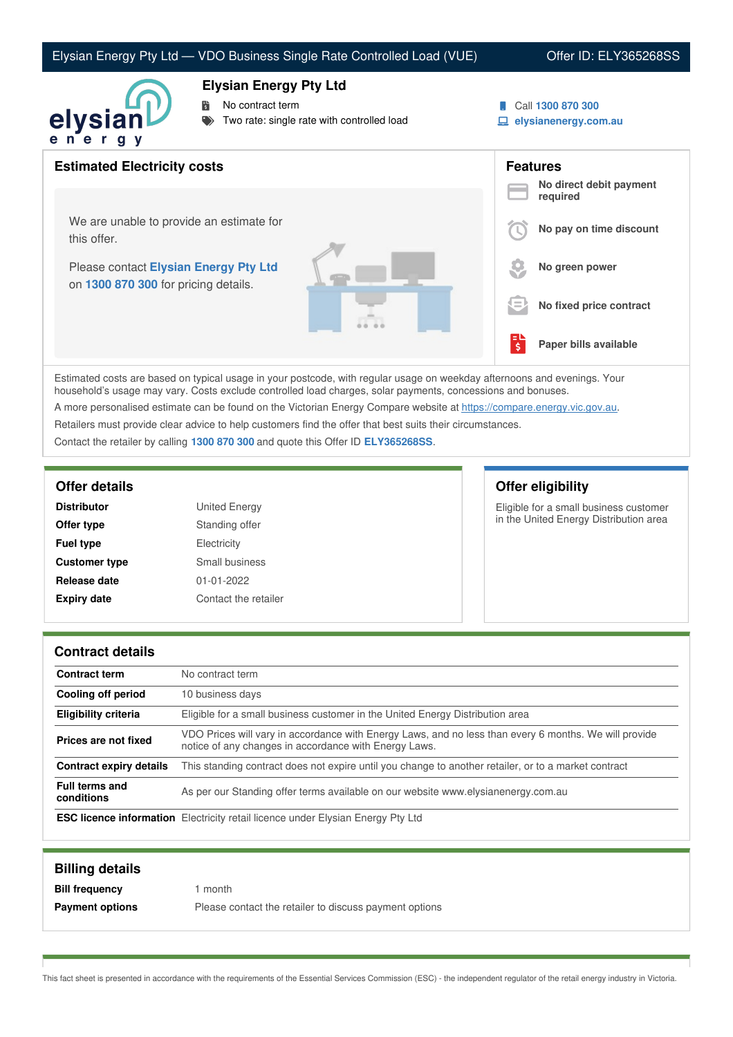## Elysian Energy Pty Ltd — VDO Business Single Rate Controlled Load (VUE) Offer ID: ELY365268SS



### **Elysian Energy Pty Ltd**

No contract term

- Two rate: single rate with controlled load
- Call **1300 870 300**
- **elysianenergy.com.au**

| <b>Estimated Electricity costs</b>                                            |    | <b>Features</b><br>No direct debit payment |
|-------------------------------------------------------------------------------|----|--------------------------------------------|
| We are unable to provide an estimate for                                      |    | required                                   |
| this offer.                                                                   |    | No pay on time discount                    |
| Please contact Elysian Energy Pty Ltd<br>on 1300 870 300 for pricing details. |    | No green power                             |
|                                                                               | != | No fixed price contract                    |
|                                                                               | 尉  | Paper bills available                      |

Estimated costs are based on typical usage in your postcode, with regular usage on weekday afternoons and evenings. Your household's usage may vary. Costs exclude controlled load charges, solar payments, concessions and bonuses.

A more personalised estimate can be found on the Victorian Energy Compare website at <https://compare.energy.vic.gov.au>.

Retailers must provide clear advice to help customers find the offer that best suits their circumstances.

Contact the retailer by calling **1300 870 300** and quote this Offer ID **ELY365268SS**.

| <b>Distributor</b>   | <b>United Energy</b> |
|----------------------|----------------------|
| Offer type           | Standing offer       |
| <b>Fuel type</b>     | Electricity          |
| <b>Customer type</b> | Small business       |
| Release date         | 01-01-2022           |
| <b>Expiry date</b>   | Contact the retailer |

# **Offer details Offer eligibility**

Eligible for a small business customer in the United Energy Distribution area

#### **Contract details**

| <b>Contract term</b>                | No contract term                                                                                                                                               |  |
|-------------------------------------|----------------------------------------------------------------------------------------------------------------------------------------------------------------|--|
| Cooling off period                  | 10 business days                                                                                                                                               |  |
| <b>Eligibility criteria</b>         | Eligible for a small business customer in the United Energy Distribution area                                                                                  |  |
| Prices are not fixed                | VDO Prices will vary in accordance with Energy Laws, and no less than every 6 months. We will provide<br>notice of any changes in accordance with Energy Laws. |  |
| <b>Contract expiry details</b>      | This standing contract does not expire until you change to another retailer, or to a market contract                                                           |  |
| <b>Full terms and</b><br>conditions | As per our Standing offer terms available on our website www.elysianenergy.com.au                                                                              |  |
|                                     | <b>ESC licence information</b> Electricity retail licence under Elysian Energy Pty Ltd                                                                         |  |

| <b>Billing details</b> |                                                        |
|------------------------|--------------------------------------------------------|
| <b>Bill frequency</b>  | month                                                  |
| <b>Payment options</b> | Please contact the retailer to discuss payment options |